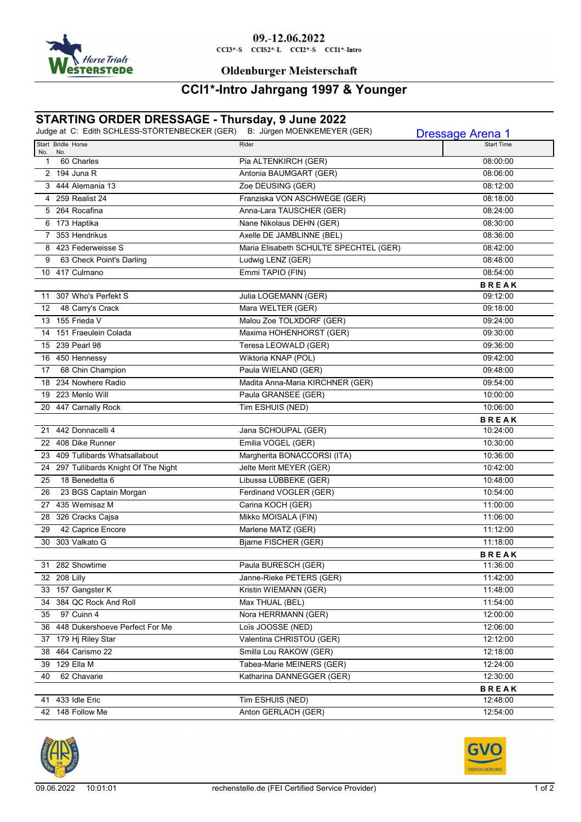

### 09.-12.06.2022

 $CCI3*-S$   $CCI52*-L$   $CCI2*-S$   $CCI1*-Intro$ 

#### **Oldenburger Meisterschaft**

## **CCI1\*-Intro Jahrgang 1997 & Younger**

## **STARTING ORDER DRESSAGE - Thursday, 9 June 2022**

|         | Judge at C: Edith SCHLESS-STÖRTENBECKER (GER) | B: Jürgen MOENKEMEYER (GER)            | <b>Dressage Arena 1</b> |
|---------|-----------------------------------------------|----------------------------------------|-------------------------|
| No. No. | Start Bridle Horse                            | Rider                                  | <b>Start Time</b>       |
| 1       | 60 Charles                                    | Pia ALTENKIRCH (GER)                   | 08:00:00                |
|         | 2 194 Juna R                                  | Antonia BAUMGART (GER)                 | 08:06:00                |
|         | 3 444 Alemania 13                             | Zoe DEUSING (GER)                      | 08:12:00                |
|         | 4 259 Realist 24                              | Franziska VON ASCHWEGE (GER)           | 08:18:00                |
|         | 5 264 Rocafina                                | Anna-Lara TAUSCHER (GER)               | 08:24:00                |
|         | 6 173 Haptika                                 | Nane Nikolaus DEHN (GER)               | 08:30:00                |
|         | 7 353 Hendrikus                               | Axelle DE JAMBLINNE (BEL)              | 08:36:00                |
|         | 8 423 Federweisse S                           | Maria Elisabeth SCHULTE SPECHTEL (GER) | 08:42:00                |
| 9       | 63 Check Point's Darling                      | Ludwig LENZ (GER)                      | 08:48:00                |
|         | 10 417 Culmano                                | Emmi TAPIO (FIN)                       | 08:54:00                |
|         |                                               |                                        | <b>BREAK</b>            |
|         | 11 307 Who's Perfekt S                        | Julia LOGEMANN (GER)                   | 09:12:00                |
| 12      | 48 Carry's Crack                              | Mara WELTER (GER)                      | 09:18:00                |
|         | 13 155 Frieda V                               | Malou Zoe TOLXDORF (GER)               | 09:24:00                |
|         | 14 151 Fraeulein Colada                       | Maxima HOHENHORST (GER)                | 09:30:00                |
|         | 15 239 Pearl 98                               | Teresa LEOWALD (GER)                   | 09:36:00                |
|         | 16 450 Hennessy                               | Wiktoria KNAP (POL)                    | 09:42:00                |
| 17      | 68 Chin Champion                              | Paula WIELAND (GER)                    | 09:48:00                |
|         | 18 234 Nowhere Radio                          | Madita Anna-Maria KIRCHNER (GER)       | 09:54:00                |
|         | 19 223 Menlo Will                             | Paula GRANSEE (GER)                    | 10:00:00                |
|         | 20 447 Carnally Rock                          | Tim ESHUIS (NED)                       | 10:06:00                |
|         |                                               |                                        | <b>BREAK</b>            |
|         | 21 442 Donnacelli 4                           | Jana SCHOUPAL (GER)                    | 10:24:00                |
|         | 22 408 Dike Runner                            | Emilia VOGEL (GER)                     | 10:30:00                |
|         | 23 409 Tullibards Whatsallabout               | Margherita BONACCORSI (ITA)            | 10:36:00                |
|         | 24 297 Tullibards Knight Of The Night         | Jelte Merit MEYER (GER)                | 10:42:00                |
| 25      | 18 Benedetta 6                                | Libussa LÜBBEKE (GER)                  | 10:48:00                |
| 26      | 23 BGS Captain Morgan                         | Ferdinand VOGLER (GER)                 | 10:54:00                |
|         | 27 435 Wernisaz M                             | Carina KOCH (GER)                      | 11:00:00                |
|         | 28 326 Cracks Cajsa                           | Mikko MOISALA (FIN)                    | 11:06:00                |
| 29      | 42 Caprice Encore                             | Marlene MATZ (GER)                     | 11:12:00                |
|         | 30 303 Valkato G                              | Bjarne FISCHER (GER)                   | 11:18:00                |
|         |                                               |                                        | <b>BREAK</b>            |
| 31      | 282 Showtime                                  | Paula BURESCH (GER)                    | 11:36:00                |
|         | 32 208 Lilly                                  | Janne-Rieke PETERS (GER)               | 11:42:00                |
|         | 33 157 Gangster K                             | Kristin WIEMANN (GER)                  | 11:48:00                |
|         | 34 384 QC Rock And Roll                       | Max THUAL (BEL)                        | 11:54:00                |
|         | 35 97 Cuinn 4                                 | Nora HERRMANN (GER)                    | 12:00:00                |
|         | 36 448 Dukershoeve Perfect For Me             | Loïs JOOSSE (NED)                      | 12:06:00                |
|         | 37 179 Hj Riley Star                          | Valentina CHRISTOU (GER)               | 12:12:00                |
|         | 38 464 Carismo 22                             | Smilla Lou RAKOW (GER)                 | 12:18:00                |
|         | 39 129 Ella M                                 | Tabea-Marie MEINERS (GER)              | 12:24:00                |
| 40      | 62 Chavarie                                   | Katharina DANNEGGER (GER)              | 12:30:00                |
|         |                                               |                                        | <b>BREAK</b>            |
|         | 41 433 Idle Eric                              | Tim ESHUIS (NED)                       | 12:48:00                |
|         | 42 148 Follow Me                              | Anton GERLACH (GER)                    | 12:54:00                |